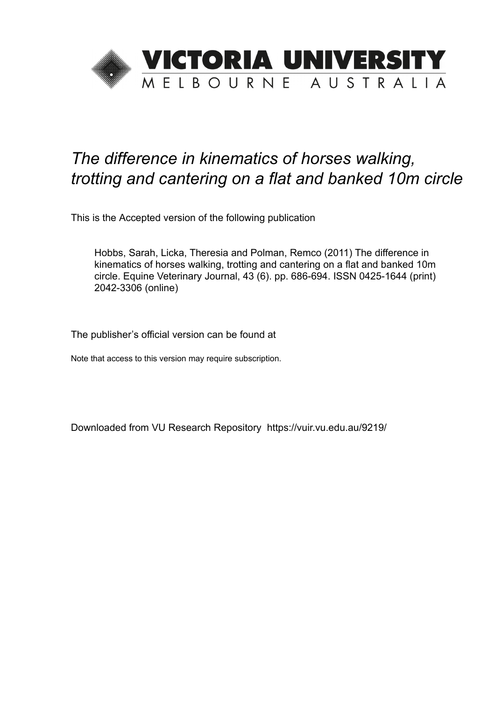

# *The difference in kinematics of horses walking, trotting and cantering on a flat and banked 10m circle*

This is the Accepted version of the following publication

Hobbs, Sarah, Licka, Theresia and Polman, Remco (2011) The difference in kinematics of horses walking, trotting and cantering on a flat and banked 10m circle. Equine Veterinary Journal, 43 (6). pp. 686-694. ISSN 0425-1644 (print) 2042-3306 (online)

The publisher's official version can be found at

Note that access to this version may require subscription.

Downloaded from VU Research Repository https://vuir.vu.edu.au/9219/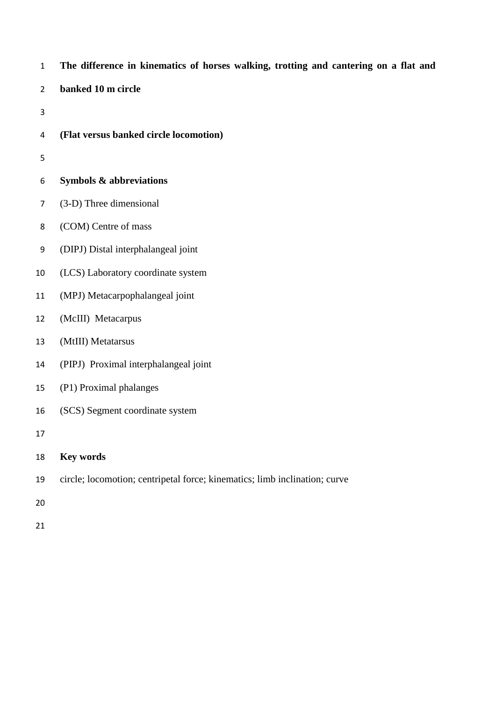- **The difference in kinematics of horses walking, trotting and cantering on a flat and**
- **banked 10 m circle**
- 
- **(Flat versus banked circle locomotion)**
- 
- **Symbols & abbreviations**
- (3-D) Three dimensional
- (COM) Centre of mass
- (DIPJ) Distal interphalangeal joint
- (LCS) Laboratory coordinate system
- (MPJ) Metacarpophalangeal joint
- (McIII) Metacarpus
- (MtIII) Metatarsus
- (PIPJ) Proximal interphalangeal joint
- (P1) Proximal phalanges
- (SCS) Segment coordinate system
- 

# **Key words**

- circle; locomotion; centripetal force; kinematics; limb inclination; curve
- 
-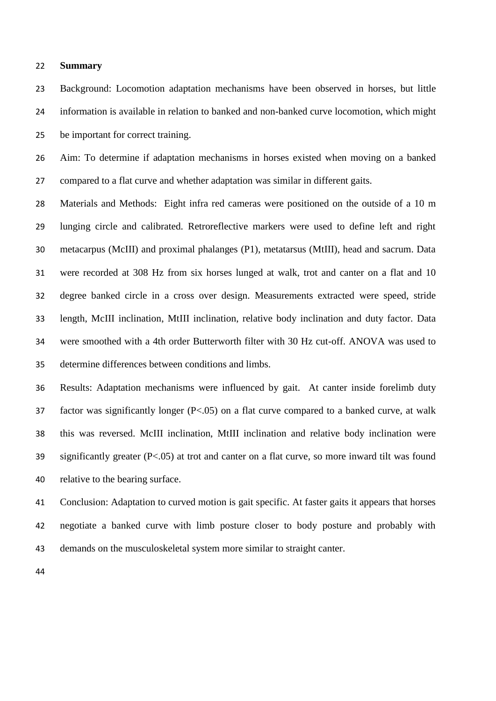### **Summary**

 Background: Locomotion adaptation mechanisms have been observed in horses, but little information is available in relation to banked and non-banked curve locomotion, which might be important for correct training.

 Aim: To determine if adaptation mechanisms in horses existed when moving on a banked compared to a flat curve and whether adaptation was similar in different gaits.

 Materials and Methods: Eight infra red cameras were positioned on the outside of a 10 m lunging circle and calibrated. Retroreflective markers were used to define left and right metacarpus (McIII) and proximal phalanges (P1), metatarsus (MtIII), head and sacrum. Data were recorded at 308 Hz from six horses lunged at walk, trot and canter on a flat and 10 degree banked circle in a cross over design. Measurements extracted were speed, stride length, McIII inclination, MtIII inclination, relative body inclination and duty factor. Data were smoothed with a 4th order Butterworth filter with 30 Hz cut-off. ANOVA was used to determine differences between conditions and limbs.

 Results: Adaptation mechanisms were influenced by gait. At canter inside forelimb duty factor was significantly longer (P<.05) on a flat curve compared to a banked curve, at walk this was reversed. McIII inclination, MtIII inclination and relative body inclination were significantly greater (P<.05) at trot and canter on a flat curve, so more inward tilt was found relative to the bearing surface.

 Conclusion: Adaptation to curved motion is gait specific. At faster gaits it appears that horses negotiate a banked curve with limb posture closer to body posture and probably with demands on the musculoskeletal system more similar to straight canter.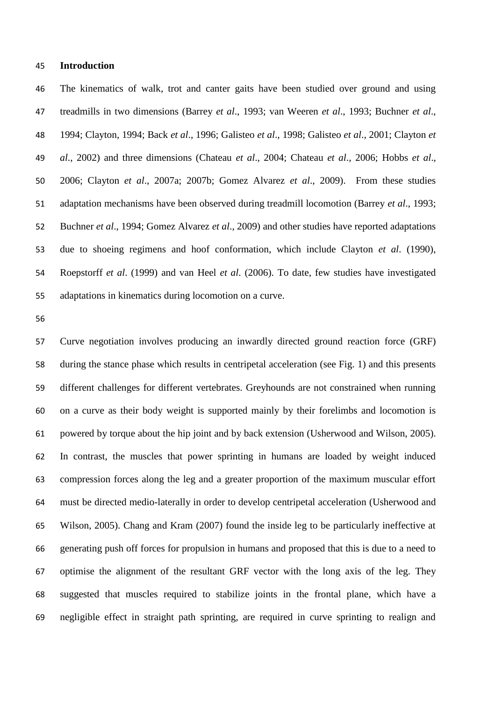#### **Introduction**

 The kinematics of walk, trot and canter gaits have been studied over ground and using treadmills in two dimensions (Barrey *et al*., 1993; van Weeren *et al*., 1993; Buchner *et al*., 1994; Clayton, 1994; Back *et al*., 1996; Galisteo *et al*., 1998; Galisteo *et al*., 2001; Clayton *et al*., 2002) and three dimensions (Chateau *et al*., 2004; Chateau *et al*., 2006; Hobbs *et al*., 2006; Clayton *et al*., 2007a; 2007b; Gomez Alvarez *et al*., 2009). From these studies adaptation mechanisms have been observed during treadmill locomotion (Barrey *et al*., 1993; Buchner *et al*., 1994; Gomez Alvarez *et al*., 2009) and other studies have reported adaptations due to shoeing regimens and hoof conformation, which include Clayton *et al*. (1990), Roepstorff *et al*. (1999) and van Heel *et al*. (2006). To date, few studies have investigated adaptations in kinematics during locomotion on a curve.

 Curve negotiation involves producing an inwardly directed ground reaction force (GRF) during the stance phase which results in centripetal acceleration (see Fig. 1) and this presents different challenges for different vertebrates. Greyhounds are not constrained when running on a curve as their body weight is supported mainly by their forelimbs and locomotion is powered by torque about the hip joint and by back extension (Usherwood and Wilson, 2005). In contrast, the muscles that power sprinting in humans are loaded by weight induced compression forces along the leg and a greater proportion of the maximum muscular effort must be directed medio-laterally in order to develop centripetal acceleration (Usherwood and Wilson, 2005). Chang and Kram (2007) found the inside leg to be particularly ineffective at generating push off forces for propulsion in humans and proposed that this is due to a need to optimise the alignment of the resultant GRF vector with the long axis of the leg. They suggested that muscles required to stabilize joints in the frontal plane, which have a negligible effect in straight path sprinting, are required in curve sprinting to realign and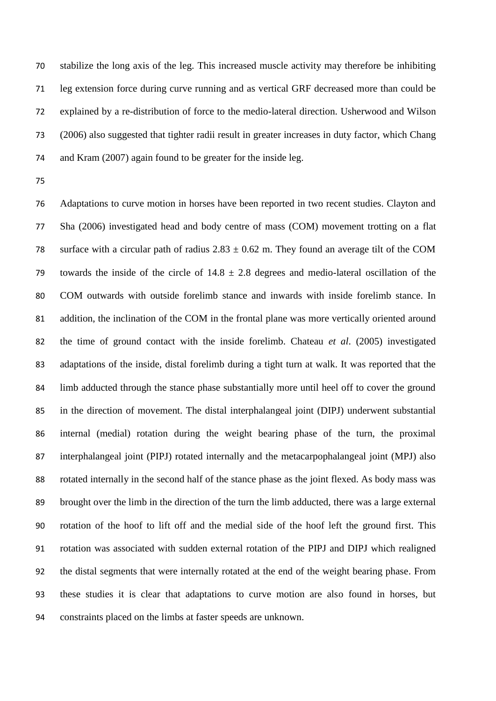stabilize the long axis of the leg. This increased muscle activity may therefore be inhibiting leg extension force during curve running and as vertical GRF decreased more than could be explained by a re-distribution of force to the medio-lateral direction. Usherwood and Wilson (2006) also suggested that tighter radii result in greater increases in duty factor, which Chang and Kram (2007) again found to be greater for the inside leg.

 Adaptations to curve motion in horses have been reported in two recent studies. Clayton and Sha (2006) investigated head and body centre of mass (COM) movement trotting on a flat 78 surface with a circular path of radius  $2.83 \pm 0.62$  m. They found an average tilt of the COM 79 towards the inside of the circle of  $14.8 \pm 2.8$  degrees and medio-lateral oscillation of the COM outwards with outside forelimb stance and inwards with inside forelimb stance. In addition, the inclination of the COM in the frontal plane was more vertically oriented around the time of ground contact with the inside forelimb. Chateau *et al*. (2005) investigated adaptations of the inside, distal forelimb during a tight turn at walk. It was reported that the limb adducted through the stance phase substantially more until heel off to cover the ground in the direction of movement. The distal interphalangeal joint (DIPJ) underwent substantial internal (medial) rotation during the weight bearing phase of the turn, the proximal interphalangeal joint (PIPJ) rotated internally and the metacarpophalangeal joint (MPJ) also rotated internally in the second half of the stance phase as the joint flexed. As body mass was brought over the limb in the direction of the turn the limb adducted, there was a large external rotation of the hoof to lift off and the medial side of the hoof left the ground first. This rotation was associated with sudden external rotation of the PIPJ and DIPJ which realigned the distal segments that were internally rotated at the end of the weight bearing phase. From these studies it is clear that adaptations to curve motion are also found in horses, but constraints placed on the limbs at faster speeds are unknown.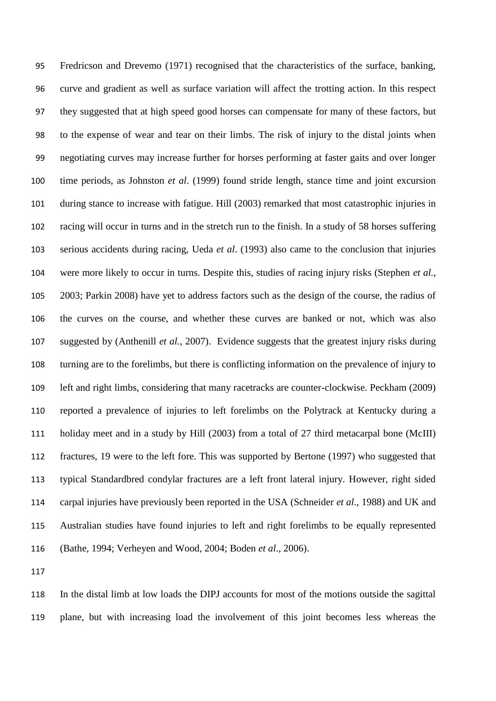Fredricson and Drevemo (1971) recognised that the characteristics of the surface, banking, curve and gradient as well as surface variation will affect the trotting action. In this respect they suggested that at high speed good horses can compensate for many of these factors, but to the expense of wear and tear on their limbs. The risk of injury to the distal joints when negotiating curves may increase further for horses performing at faster gaits and over longer time periods, as Johnston *et al*. (1999) found stride length, stance time and joint excursion during stance to increase with fatigue. Hill (2003) remarked that most catastrophic injuries in racing will occur in turns and in the stretch run to the finish. In a study of 58 horses suffering serious accidents during racing, Ueda *et al*. (1993) also came to the conclusion that injuries were more likely to occur in turns. Despite this, studies of racing injury risks (Stephen *et al.*, 2003; Parkin 2008) have yet to address factors such as the design of the course, the radius of the curves on the course, and whether these curves are banked or not, which was also suggested by (Anthenill *et al.,* 2007). Evidence suggests that the greatest injury risks during turning are to the forelimbs, but there is conflicting information on the prevalence of injury to left and right limbs, considering that many racetracks are counter-clockwise. Peckham (2009) reported a prevalence of injuries to left forelimbs on the Polytrack at Kentucky during a holiday meet and in a study by Hill (2003) from a total of 27 third metacarpal bone (McIII) fractures, 19 were to the left fore. This was supported by Bertone (1997) who suggested that typical Standardbred condylar fractures are a left front lateral injury. However, right sided carpal injuries have previously been reported in the USA (Schneider *et al*., 1988) and UK and Australian studies have found injuries to left and right forelimbs to be equally represented (Bathe, 1994; Verheyen and Wood, 2004; Boden *et al*., 2006).

 In the distal limb at low loads the DIPJ accounts for most of the motions outside the sagittal plane, but with increasing load the involvement of this joint becomes less whereas the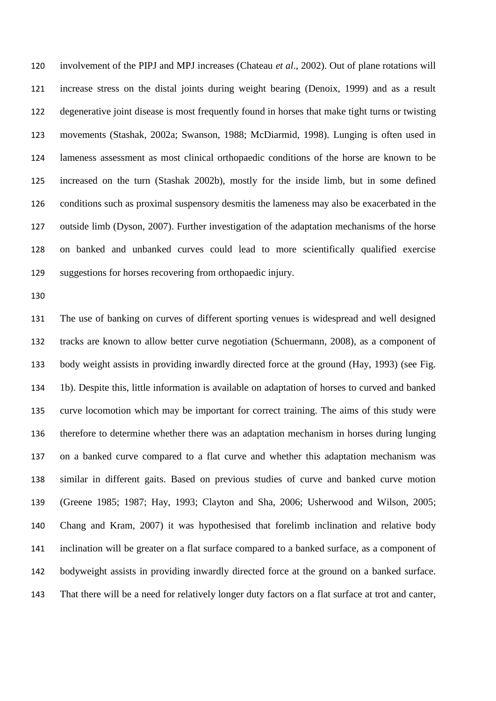involvement of the PIPJ and MPJ increases (Chateau *et al*., 2002). Out of plane rotations will increase stress on the distal joints during weight bearing (Denoix, 1999) and as a result degenerative joint disease is most frequently found in horses that make tight turns or twisting movements (Stashak, 2002a; Swanson, 1988; McDiarmid, 1998). Lunging is often used in lameness assessment as most clinical orthopaedic conditions of the horse are known to be increased on the turn (Stashak 2002b), mostly for the inside limb, but in some defined conditions such as proximal suspensory desmitis the lameness may also be exacerbated in the outside limb (Dyson, 2007). Further investigation of the adaptation mechanisms of the horse on banked and unbanked curves could lead to more scientifically qualified exercise suggestions for horses recovering from orthopaedic injury.

 The use of banking on curves of different sporting venues is widespread and well designed tracks are known to allow better curve negotiation (Schuermann, 2008), as a component of body weight assists in providing inwardly directed force at the ground (Hay, 1993) (see Fig. 1b). Despite this, little information is available on adaptation of horses to curved and banked curve locomotion which may be important for correct training. The aims of this study were therefore to determine whether there was an adaptation mechanism in horses during lunging on a banked curve compared to a flat curve and whether this adaptation mechanism was similar in different gaits. Based on previous studies of curve and banked curve motion (Greene 1985; 1987; Hay, 1993; Clayton and Sha, 2006; Usherwood and Wilson, 2005; Chang and Kram, 2007) it was hypothesised that forelimb inclination and relative body inclination will be greater on a flat surface compared to a banked surface, as a component of bodyweight assists in providing inwardly directed force at the ground on a banked surface. That there will be a need for relatively longer duty factors on a flat surface at trot and canter,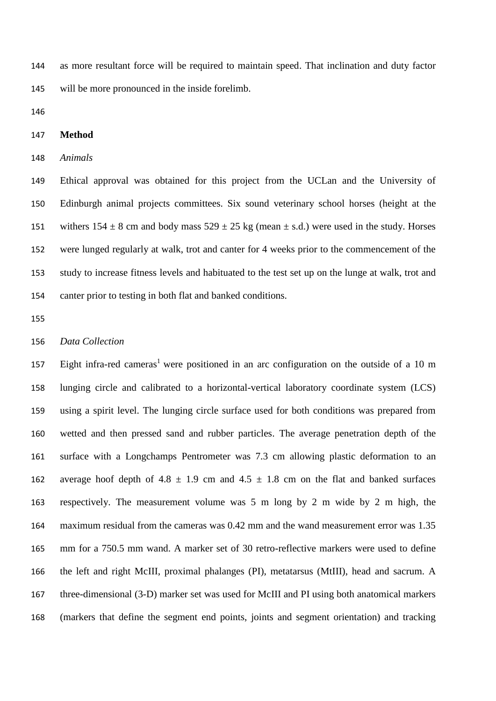as more resultant force will be required to maintain speed. That inclination and duty factor will be more pronounced in the inside forelimb.

# **Method**

#### *Animals*

 Ethical approval was obtained for this project from the UCLan and the University of Edinburgh animal projects committees. Six sound veterinary school horses (height at the 151 withers  $154 \pm 8$  cm and body mass  $529 \pm 25$  kg (mean  $\pm$  s.d.) were used in the study. Horses were lunged regularly at walk, trot and canter for 4 weeks prior to the commencement of the study to increase fitness levels and habituated to the test set up on the lunge at walk, trot and canter prior to testing in both flat and banked conditions.

# *Data Collection*

157 Eight infra-red cameras<sup>1</sup> were positioned in an arc configuration on the outside of a 10 m lunging circle and calibrated to a horizontal-vertical laboratory coordinate system (LCS) using a spirit level. The lunging circle surface used for both conditions was prepared from wetted and then pressed sand and rubber particles. The average penetration depth of the surface with a Longchamps Pentrometer was 7.3 cm allowing plastic deformation to an 162 average hoof depth of 4.8  $\pm$  1.9 cm and 4.5  $\pm$  1.8 cm on the flat and banked surfaces respectively. The measurement volume was 5 m long by 2 m wide by 2 m high, the maximum residual from the cameras was 0.42 mm and the wand measurement error was 1.35 mm for a 750.5 mm wand. A marker set of 30 retro-reflective markers were used to define the left and right McIII, proximal phalanges (PI), metatarsus (MtIII), head and sacrum. A three-dimensional (3-D) marker set was used for McIII and PI using both anatomical markers (markers that define the segment end points, joints and segment orientation) and tracking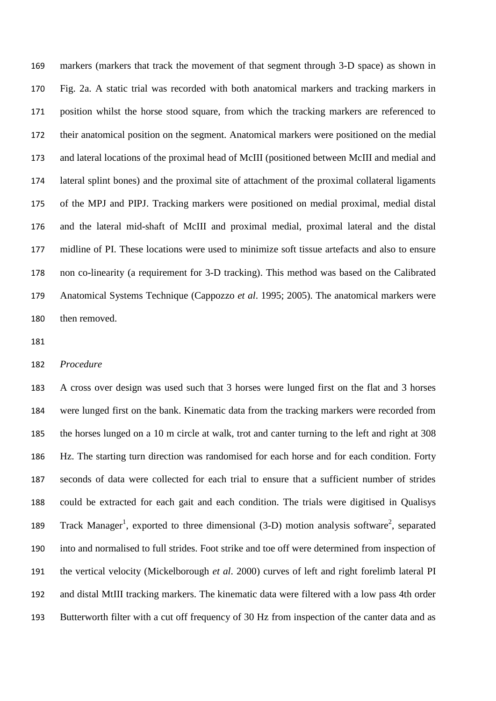markers (markers that track the movement of that segment through 3-D space) as shown in Fig. 2a. A static trial was recorded with both anatomical markers and tracking markers in position whilst the horse stood square, from which the tracking markers are referenced to their anatomical position on the segment. Anatomical markers were positioned on the medial and lateral locations of the proximal head of McIII (positioned between McIII and medial and lateral splint bones) and the proximal site of attachment of the proximal collateral ligaments of the MPJ and PIPJ. Tracking markers were positioned on medial proximal, medial distal and the lateral mid-shaft of McIII and proximal medial, proximal lateral and the distal midline of PI. These locations were used to minimize soft tissue artefacts and also to ensure non co-linearity (a requirement for 3-D tracking). This method was based on the Calibrated Anatomical Systems Technique (Cappozzo *et al*. 1995; 2005). The anatomical markers were then removed.

#### *Procedure*

 A cross over design was used such that 3 horses were lunged first on the flat and 3 horses were lunged first on the bank. Kinematic data from the tracking markers were recorded from the horses lunged on a 10 m circle at walk, trot and canter turning to the left and right at 308 Hz. The starting turn direction was randomised for each horse and for each condition. Forty seconds of data were collected for each trial to ensure that a sufficient number of strides could be extracted for each gait and each condition. The trials were digitised in Qualisys 189 Track Manager<sup>1</sup>, exported to three dimensional (3-D) motion analysis software<sup>2</sup>, separated into and normalised to full strides. Foot strike and toe off were determined from inspection of the vertical velocity (Mickelborough *et al*. 2000) curves of left and right forelimb lateral PI and distal MtIII tracking markers. The kinematic data were filtered with a low pass 4th order Butterworth filter with a cut off frequency of 30 Hz from inspection of the canter data and as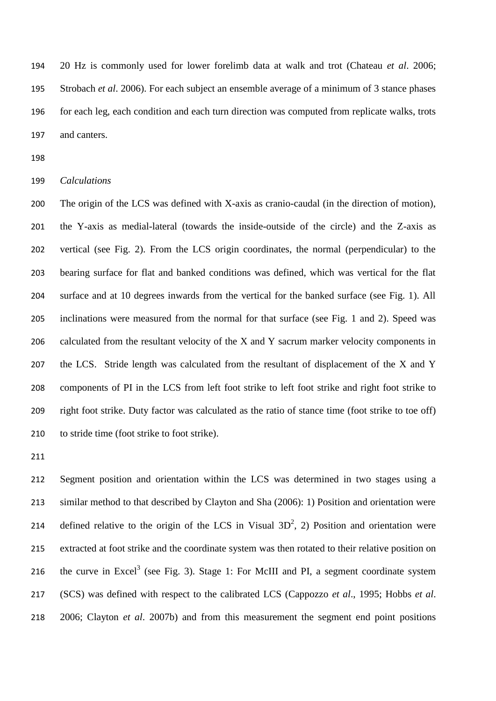20 Hz is commonly used for lower forelimb data at walk and trot (Chateau *et al*. 2006; Strobach *et al*. 2006). For each subject an ensemble average of a minimum of 3 stance phases for each leg, each condition and each turn direction was computed from replicate walks, trots and canters.

# *Calculations*

 The origin of the LCS was defined with X-axis as cranio-caudal (in the direction of motion), the Y-axis as medial-lateral (towards the inside-outside of the circle) and the Z-axis as vertical (see Fig. 2). From the LCS origin coordinates, the normal (perpendicular) to the bearing surface for flat and banked conditions was defined, which was vertical for the flat surface and at 10 degrees inwards from the vertical for the banked surface (see Fig. 1). All inclinations were measured from the normal for that surface (see Fig. 1 and 2). Speed was 206 calculated from the resultant velocity of the X and Y sacrum marker velocity components in the LCS. Stride length was calculated from the resultant of displacement of the X and Y components of PI in the LCS from left foot strike to left foot strike and right foot strike to right foot strike. Duty factor was calculated as the ratio of stance time (foot strike to toe off) 210 to stride time (foot strike to foot strike).

 Segment position and orientation within the LCS was determined in two stages using a similar method to that described by Clayton and Sha (2006): 1) Position and orientation were 214 defined relative to the origin of the LCS in Visual  $3D^2$ , 2) Position and orientation were extracted at foot strike and the coordinate system was then rotated to their relative position on 216 the curve in Excel<sup>3</sup> (see Fig. 3). Stage 1: For McIII and PI, a segment coordinate system (SCS) was defined with respect to the calibrated LCS (Cappozzo *et al*., 1995; Hobbs *et al*. 2006; Clayton *et al*. 2007b) and from this measurement the segment end point positions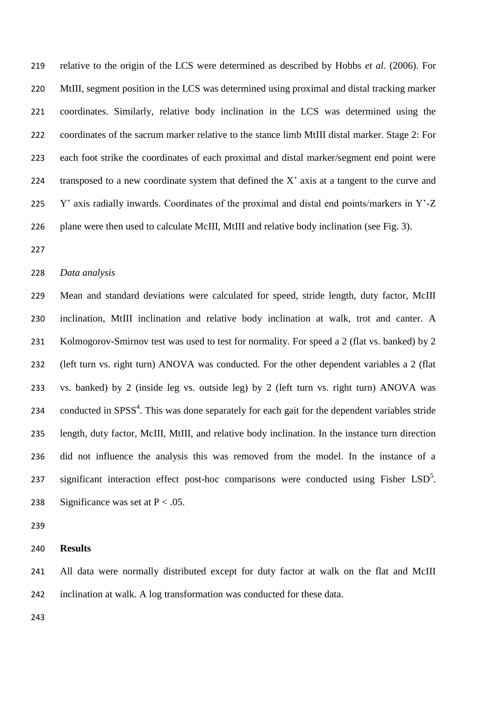relative to the origin of the LCS were determined as described by Hobbs *et al*. (2006). For MtIII, segment position in the LCS was determined using proximal and distal tracking marker coordinates. Similarly, relative body inclination in the LCS was determined using the coordinates of the sacrum marker relative to the stance limb MtIII distal marker. Stage 2: For each foot strike the coordinates of each proximal and distal marker/segment end point were transposed to a new coordinate system that defined the X' axis at a tangent to the curve and Y' axis radially inwards. Coordinates of the proximal and distal end points/markers in Y'-Z 226 plane were then used to calculate McIII, MtIII and relative body inclination (see Fig. 3).

#### *Data analysis*

 Mean and standard deviations were calculated for speed, stride length, duty factor, McIII inclination, MtIII inclination and relative body inclination at walk, trot and canter. A 231 Kolmogorov-Smirnov test was used to test for normality. For speed a 2 (flat vs. banked) by 2 (left turn vs. right turn) ANOVA was conducted. For the other dependent variables a 2 (flat vs. banked) by 2 (inside leg vs. outside leg) by 2 (left turn vs. right turn) ANOVA was 234 conducted in  $SPSS<sup>4</sup>$ . This was done separately for each gait for the dependent variables stride length, duty factor, McIII, MtIII, and relative body inclination. In the instance turn direction did not influence the analysis this was removed from the model. In the instance of a 237 significant interaction effect post-hoc comparisons were conducted using Fisher  $LSD<sup>5</sup>$ . 238 Significance was set at  $P < .05$ .

# **Results**

241 All data were normally distributed except for duty factor at walk on the flat and McIII inclination at walk. A log transformation was conducted for these data.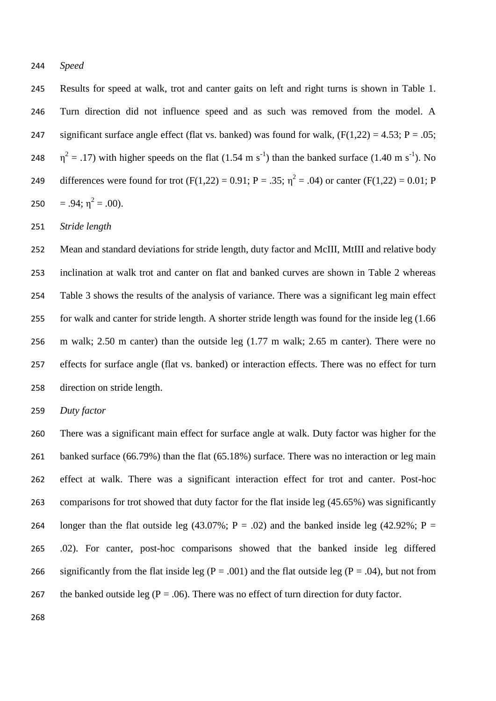*Speed*

 Results for speed at walk, trot and canter gaits on left and right turns is shown in Table 1. Turn direction did not influence speed and as such was removed from the model. A 247 significant surface angle effect (flat vs. banked) was found for walk,  $(F(1,22) = 4.53; P = .05;$ 248  $\eta^2 = .17$ ) with higher speeds on the flat (1.54 m s<sup>-1</sup>) than the banked surface (1.40 m s<sup>-1</sup>). No 249 differences were found for trot  $(F(1,22) = 0.91; P = .35; \eta^2 = .04)$  or canter  $(F(1,22) = 0.01; P$ 250 = .94;  $\eta^2$  = .00).

*Stride length*

 Mean and standard deviations for stride length, duty factor and McIII, MtIII and relative body inclination at walk trot and canter on flat and banked curves are shown in Table 2 whereas Table 3 shows the results of the analysis of variance. There was a significant leg main effect for walk and canter for stride length. A shorter stride length was found for the inside leg (1.66 m walk; 2.50 m canter) than the outside leg (1.77 m walk; 2.65 m canter). There were no effects for surface angle (flat vs. banked) or interaction effects. There was no effect for turn direction on stride length.

*Duty factor*

 There was a significant main effect for surface angle at walk. Duty factor was higher for the 261 banked surface (66.79%) than the flat (65.18%) surface. There was no interaction or leg main effect at walk. There was a significant interaction effect for trot and canter. Post-hoc comparisons for trot showed that duty factor for the flat inside leg (45.65%) was significantly 264 longer than the flat outside leg (43.07%; P = .02) and the banked inside leg (42.92%; P = .02). For canter, post-hoc comparisons showed that the banked inside leg differed 266 significantly from the flat inside leg ( $P = .001$ ) and the flat outside leg ( $P = .04$ ), but not from 267 the banked outside leg ( $P = .06$ ). There was no effect of turn direction for duty factor.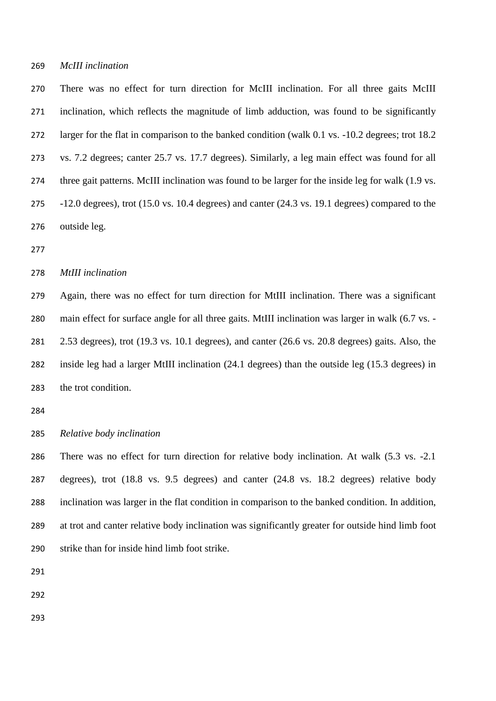*McIII inclination* 

 There was no effect for turn direction for McIII inclination. For all three gaits McIII inclination, which reflects the magnitude of limb adduction, was found to be significantly larger for the flat in comparison to the banked condition (walk 0.1 vs. -10.2 degrees; trot 18.2 vs. 7.2 degrees; canter 25.7 vs. 17.7 degrees). Similarly, a leg main effect was found for all three gait patterns. McIII inclination was found to be larger for the inside leg for walk (1.9 vs. -12.0 degrees), trot (15.0 vs. 10.4 degrees) and canter (24.3 vs. 19.1 degrees) compared to the outside leg.

*MtIII inclination*

 Again, there was no effect for turn direction for MtIII inclination. There was a significant main effect for surface angle for all three gaits. MtIII inclination was larger in walk (6.7 vs. - 2.53 degrees), trot (19.3 vs. 10.1 degrees), and canter (26.6 vs. 20.8 degrees) gaits. Also, the inside leg had a larger MtIII inclination (24.1 degrees) than the outside leg (15.3 degrees) in the trot condition.

*Relative body inclination*

 There was no effect for turn direction for relative body inclination. At walk (5.3 vs. -2.1 degrees), trot (18.8 vs. 9.5 degrees) and canter (24.8 vs. 18.2 degrees) relative body inclination was larger in the flat condition in comparison to the banked condition. In addition, at trot and canter relative body inclination was significantly greater for outside hind limb foot strike than for inside hind limb foot strike.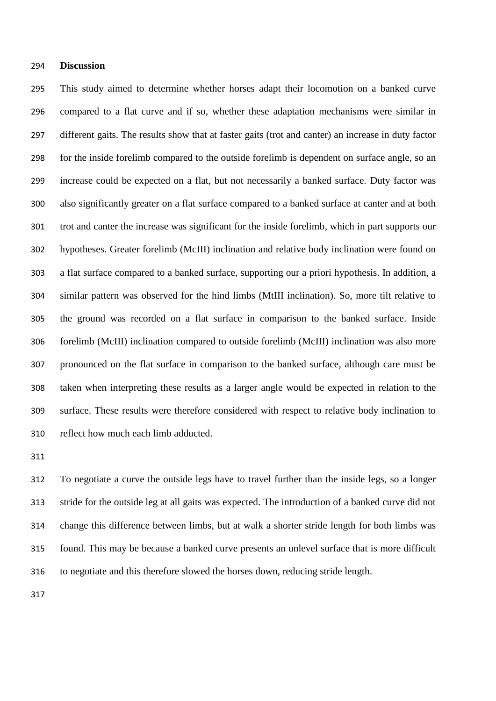#### **Discussion**

 This study aimed to determine whether horses adapt their locomotion on a banked curve compared to a flat curve and if so, whether these adaptation mechanisms were similar in different gaits. The results show that at faster gaits (trot and canter) an increase in duty factor for the inside forelimb compared to the outside forelimb is dependent on surface angle, so an increase could be expected on a flat, but not necessarily a banked surface. Duty factor was also significantly greater on a flat surface compared to a banked surface at canter and at both trot and canter the increase was significant for the inside forelimb, which in part supports our hypotheses. Greater forelimb (McIII) inclination and relative body inclination were found on a flat surface compared to a banked surface, supporting our a priori hypothesis. In addition, a similar pattern was observed for the hind limbs (MtIII inclination). So, more tilt relative to the ground was recorded on a flat surface in comparison to the banked surface. Inside forelimb (McIII) inclination compared to outside forelimb (McIII) inclination was also more pronounced on the flat surface in comparison to the banked surface, although care must be taken when interpreting these results as a larger angle would be expected in relation to the surface. These results were therefore considered with respect to relative body inclination to reflect how much each limb adducted.

 To negotiate a curve the outside legs have to travel further than the inside legs, so a longer stride for the outside leg at all gaits was expected. The introduction of a banked curve did not change this difference between limbs, but at walk a shorter stride length for both limbs was found. This may be because a banked curve presents an unlevel surface that is more difficult to negotiate and this therefore slowed the horses down, reducing stride length.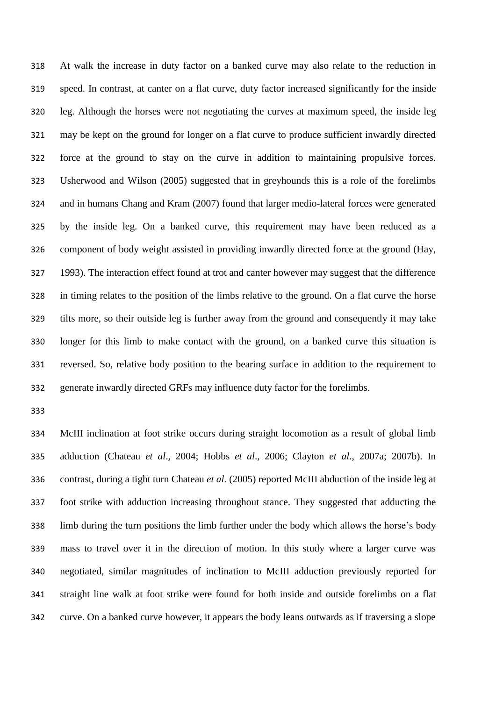At walk the increase in duty factor on a banked curve may also relate to the reduction in speed. In contrast, at canter on a flat curve, duty factor increased significantly for the inside leg. Although the horses were not negotiating the curves at maximum speed, the inside leg may be kept on the ground for longer on a flat curve to produce sufficient inwardly directed force at the ground to stay on the curve in addition to maintaining propulsive forces. Usherwood and Wilson (2005) suggested that in greyhounds this is a role of the forelimbs and in humans Chang and Kram (2007) found that larger medio-lateral forces were generated by the inside leg. On a banked curve, this requirement may have been reduced as a component of body weight assisted in providing inwardly directed force at the ground (Hay, 1993). The interaction effect found at trot and canter however may suggest that the difference in timing relates to the position of the limbs relative to the ground. On a flat curve the horse tilts more, so their outside leg is further away from the ground and consequently it may take longer for this limb to make contact with the ground, on a banked curve this situation is reversed. So, relative body position to the bearing surface in addition to the requirement to generate inwardly directed GRFs may influence duty factor for the forelimbs.

 McIII inclination at foot strike occurs during straight locomotion as a result of global limb adduction (Chateau *et al*., 2004; Hobbs *et al*., 2006; Clayton *et al*., 2007a; 2007b). In contrast, during a tight turn Chateau *et al*. (2005) reported McIII abduction of the inside leg at foot strike with adduction increasing throughout stance. They suggested that adducting the limb during the turn positions the limb further under the body which allows the horse's body mass to travel over it in the direction of motion. In this study where a larger curve was negotiated, similar magnitudes of inclination to McIII adduction previously reported for straight line walk at foot strike were found for both inside and outside forelimbs on a flat curve. On a banked curve however, it appears the body leans outwards as if traversing a slope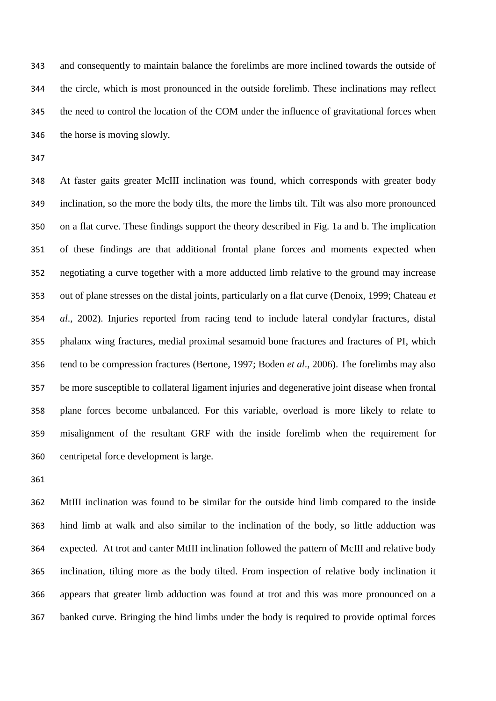and consequently to maintain balance the forelimbs are more inclined towards the outside of the circle, which is most pronounced in the outside forelimb. These inclinations may reflect the need to control the location of the COM under the influence of gravitational forces when the horse is moving slowly.

 At faster gaits greater McIII inclination was found, which corresponds with greater body inclination, so the more the body tilts, the more the limbs tilt. Tilt was also more pronounced on a flat curve. These findings support the theory described in Fig. 1a and b. The implication of these findings are that additional frontal plane forces and moments expected when negotiating a curve together with a more adducted limb relative to the ground may increase out of plane stresses on the distal joints, particularly on a flat curve (Denoix, 1999; Chateau *et al*., 2002). Injuries reported from racing tend to include lateral condylar fractures, distal phalanx wing fractures, medial proximal sesamoid bone fractures and fractures of PI, which tend to be compression fractures (Bertone, 1997; Boden *et al*., 2006). The forelimbs may also be more susceptible to collateral ligament injuries and degenerative joint disease when frontal plane forces become unbalanced. For this variable, overload is more likely to relate to misalignment of the resultant GRF with the inside forelimb when the requirement for centripetal force development is large.

 MtIII inclination was found to be similar for the outside hind limb compared to the inside hind limb at walk and also similar to the inclination of the body, so little adduction was expected. At trot and canter MtIII inclination followed the pattern of McIII and relative body inclination, tilting more as the body tilted. From inspection of relative body inclination it appears that greater limb adduction was found at trot and this was more pronounced on a banked curve. Bringing the hind limbs under the body is required to provide optimal forces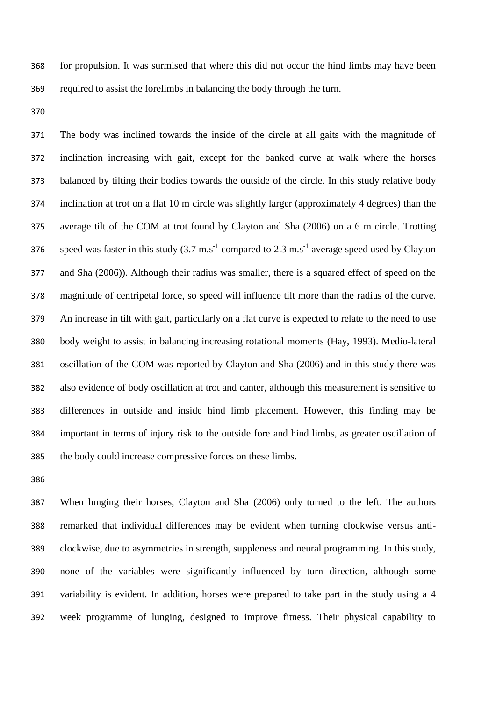for propulsion. It was surmised that where this did not occur the hind limbs may have been required to assist the forelimbs in balancing the body through the turn.

 The body was inclined towards the inside of the circle at all gaits with the magnitude of inclination increasing with gait, except for the banked curve at walk where the horses balanced by tilting their bodies towards the outside of the circle. In this study relative body inclination at trot on a flat 10 m circle was slightly larger (approximately 4 degrees) than the average tilt of the COM at trot found by Clayton and Sha (2006) on a 6 m circle. Trotting 376 speed was faster in this study  $(3.7 \text{ m.s}^{-1}$  compared to  $2.3 \text{ m.s}^{-1}$  average speed used by Clayton and Sha (2006)). Although their radius was smaller, there is a squared effect of speed on the magnitude of centripetal force, so speed will influence tilt more than the radius of the curve. An increase in tilt with gait, particularly on a flat curve is expected to relate to the need to use body weight to assist in balancing increasing rotational moments (Hay, 1993). Medio-lateral oscillation of the COM was reported by Clayton and Sha (2006) and in this study there was also evidence of body oscillation at trot and canter, although this measurement is sensitive to differences in outside and inside hind limb placement. However, this finding may be important in terms of injury risk to the outside fore and hind limbs, as greater oscillation of the body could increase compressive forces on these limbs.

 When lunging their horses, Clayton and Sha (2006) only turned to the left. The authors remarked that individual differences may be evident when turning clockwise versus anti- clockwise, due to asymmetries in strength, suppleness and neural programming. In this study, none of the variables were significantly influenced by turn direction, although some variability is evident. In addition, horses were prepared to take part in the study using a 4 week programme of lunging, designed to improve fitness. Their physical capability to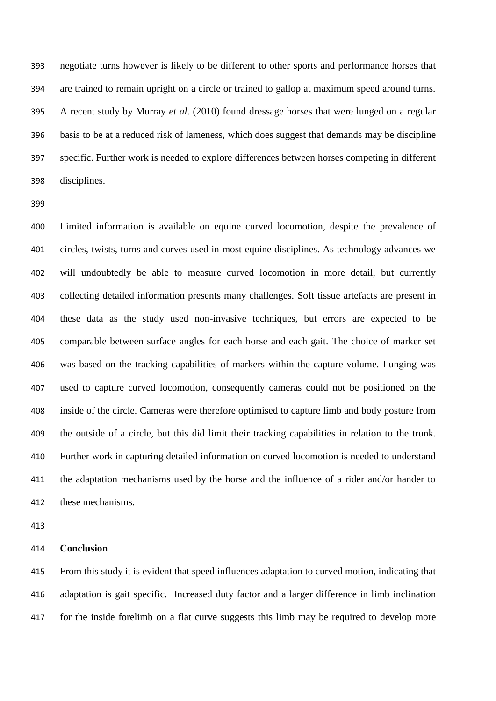negotiate turns however is likely to be different to other sports and performance horses that are trained to remain upright on a circle or trained to gallop at maximum speed around turns. A recent study by Murray *et al*. (2010) found dressage horses that were lunged on a regular basis to be at a reduced risk of lameness, which does suggest that demands may be discipline specific. Further work is needed to explore differences between horses competing in different disciplines.

 Limited information is available on equine curved locomotion, despite the prevalence of circles, twists, turns and curves used in most equine disciplines. As technology advances we will undoubtedly be able to measure curved locomotion in more detail, but currently collecting detailed information presents many challenges. Soft tissue artefacts are present in these data as the study used non-invasive techniques, but errors are expected to be comparable between surface angles for each horse and each gait. The choice of marker set was based on the tracking capabilities of markers within the capture volume. Lunging was used to capture curved locomotion, consequently cameras could not be positioned on the inside of the circle. Cameras were therefore optimised to capture limb and body posture from the outside of a circle, but this did limit their tracking capabilities in relation to the trunk. Further work in capturing detailed information on curved locomotion is needed to understand the adaptation mechanisms used by the horse and the influence of a rider and/or hander to these mechanisms.

# **Conclusion**

 From this study it is evident that speed influences adaptation to curved motion, indicating that adaptation is gait specific. Increased duty factor and a larger difference in limb inclination for the inside forelimb on a flat curve suggests this limb may be required to develop more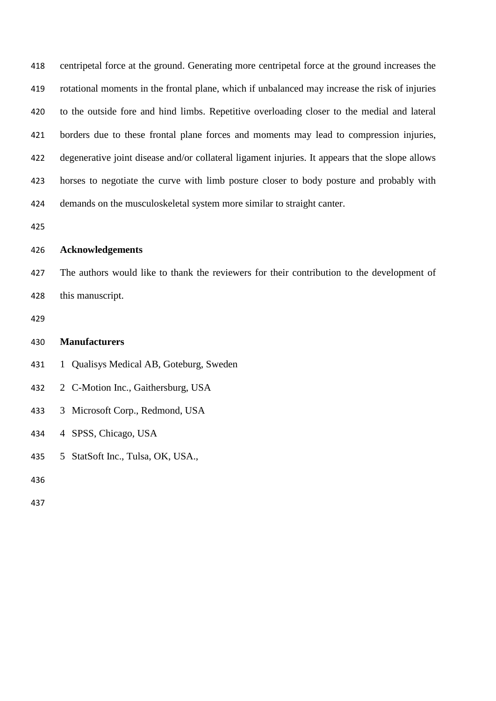| 418 | centripetal force at the ground. Generating more centripetal force at the ground increases the   |
|-----|--------------------------------------------------------------------------------------------------|
| 419 | rotational moments in the frontal plane, which if unbalanced may increase the risk of injuries   |
| 420 | to the outside fore and hind limbs. Repetitive overloading closer to the medial and lateral      |
| 421 | borders due to these frontal plane forces and moments may lead to compression injuries,          |
| 422 | degenerative joint disease and/or collateral ligament injuries. It appears that the slope allows |
| 423 | horses to negotiate the curve with limb posture closer to body posture and probably with         |
| 424 | demands on the musculoskeletal system more similar to straight canter.                           |

# **Acknowledgements**

- The authors would like to thank the reviewers for their contribution to the development of this manuscript.
- 

# **Manufacturers**

1 Qualisys Medical AB, Goteburg, Sweden

2 C-Motion Inc., Gaithersburg, USA

- 3 Microsoft Corp., Redmond, USA
- 4 SPSS, Chicago, USA
- 5 StatSoft Inc., Tulsa, OK, USA.,
- 
-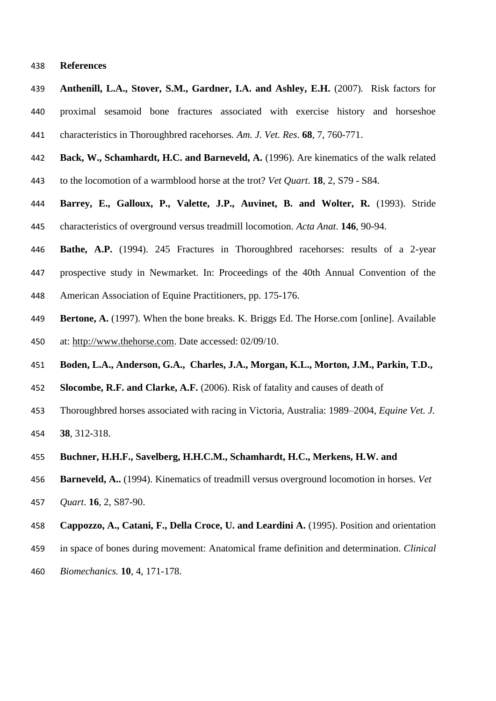#### **References**

- **Anthenill, L.A., Stover, S.M., Gardner, I.A. and Ashley, E.H.** (2007). Risk factors for proximal sesamoid bone fractures associated with exercise history and horseshoe characteristics in Thoroughbred racehorses. *Am. J. Vet. Res*. **68**, 7, 760-771.
- **Back, W., Schamhardt, H.C. and Barneveld, A.** (1996). Are kinematics of the walk related
- to the locomotion of a warmblood horse at the trot? *Vet Quart*. **18**, 2, S79 S84.
- **Barrey, E., Galloux, P., Valette, J.P., Auvinet, B. and Wolter, R.** (1993). Stride characteristics of overground versus treadmill locomotion. *Acta Anat*. **146**, 90-94.
- **Bathe, A.P.** (1994). 245 Fractures in Thoroughbred racehorses: results of a 2-year
- prospective study in Newmarket. In: Proceedings of the 40th Annual Convention of the
- American Association of Equine Practitioners, pp. 175-176.
- **Bertone, A.** (1997). When the bone breaks. K. Briggs Ed. The Horse.com [online]. Available
- at: [http://www.thehorse.com.](http://www.thehorse.com/) Date accessed: 02/09/10.
- **Boden, L.A., Anderson, G.A., Charles, J.A., Morgan, K.L., Morton, J.M., Parkin, T.D.,**
- **Slocombe, R.F. and Clarke, A.F.** (2006). Risk of fatality and causes of death of
- Thoroughbred horses associated with racing in Victoria, Australia: 1989–2004, *Equine Vet. J.*
- **38**, 312-318.
- **Buchner, H.H.F., Savelberg, H.H.C.M., Schamhardt, H.C., Merkens, H.W. and**
- **Barneveld, A..** (1994). Kinematics of treadmill versus overground locomotion in horses. *Vet*
- *Quart*. **16**, 2, S87-90.
- **Cappozzo, A., Catani, F., Della Croce, U. and Leardini A.** (1995). Position and orientation
- in space of bones during movement: Anatomical frame definition and determination. *Clinical*
- *Biomechanics.* **10**, 4, 171-178.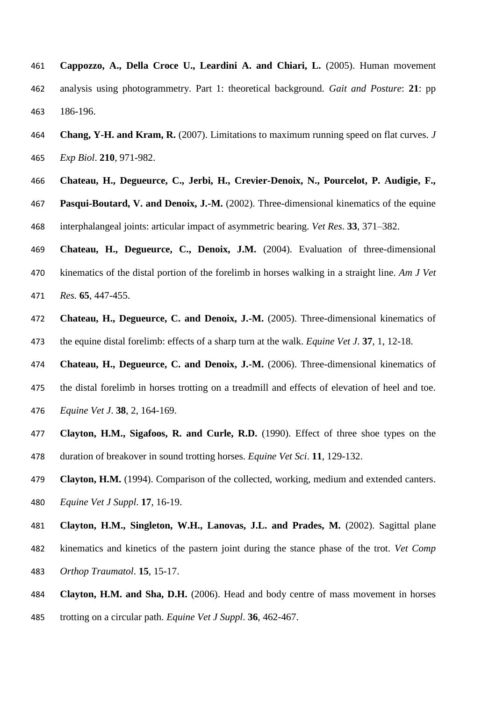- **Cappozzo, A., Della Croce U., Leardini A. and Chiari, L.** (2005). Human movement analysis using photogrammetry. Part 1: theoretical background. *Gait and Posture*: **21**: pp 186-196.
- **Chang, Y-H. and Kram, R.** (2007). Limitations to maximum running speed on flat curves. *J Exp Biol*. **210**, 971-982.
- **Chateau, H., Degueurce, C., Jerbi, H., Crevier-Denoix, N., Pourcelot, P. Audigie, F.,**

 **Pasqui-Boutard, V. and Denoix, J.-M.** (2002). Three-dimensional kinematics of the equine interphalangeal joints: articular impact of asymmetric bearing. *Vet Res*. **33**, 371–382.

- **Chateau, H., Degueurce, C., Denoix, J.M.** (2004). Evaluation of three-dimensional kinematics of the distal portion of the forelimb in horses walking in a straight line. *Am J Vet Res.* **65**, 447-455.
- **Chateau, H., Degueurce, C. and Denoix, J.-M.** (2005). Three-dimensional kinematics of the equine distal forelimb: effects of a sharp turn at the walk. *Equine Vet J*. **37**, 1, 12-18.

**Chateau, H., Degueurce, C. and Denoix, J.-M.** (2006). Three-dimensional kinematics of

- the distal forelimb in horses trotting on a treadmill and effects of elevation of heel and toe. *Equine Vet J*. **38**, 2, 164-169.
- **Clayton, H.M., Sigafoos, R. and Curle, R.D.** (1990). Effect of three shoe types on the duration of breakover in sound trotting horses. *Equine Vet Sci*. **11**, 129-132.
- **Clayton, H.M.** (1994). Comparison of the collected, working, medium and extended canters. *Equine Vet J Suppl*. **17**, 16-19.
- **Clayton, H.M., Singleton, W.H., Lanovas, J.L. and Prades, M.** (2002). Sagittal plane kinematics and kinetics of the pastern joint during the stance phase of the trot. *Vet Comp Orthop Traumatol*. **15**, 15-17.
- **Clayton, H.M. and Sha, D.H.** (2006). Head and body centre of mass movement in horses
- trotting on a circular path. *Equine Vet J Suppl*. **36**, 462-467.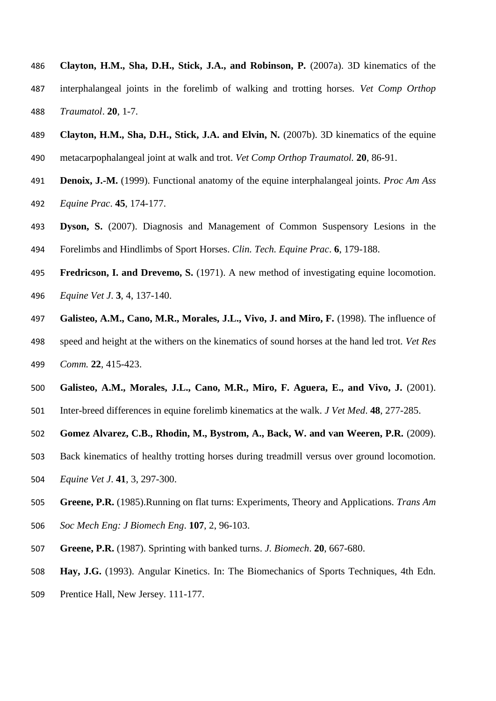- **Clayton, H.M., Sha, D.H., Stick, J.A., and Robinson, P.** (2007a). 3D kinematics of the interphalangeal joints in the forelimb of walking and trotting horses. *Vet Comp Orthop Traumatol*. **20**, 1-7.
- **Clayton, H.M., Sha, D.H., Stick, J.A. and Elvin, N.** (2007b). 3D kinematics of the equine metacarpophalangeal joint at walk and trot. *Vet Comp Orthop Traumatol.* **20**, 86-91.
- **Denoix, J.-M.** (1999). Functional anatomy of the equine interphalangeal joints. *Proc Am Ass Equine Prac*. **45**, 174-177.
- **Dyson, S.** (2007). Diagnosis and Management of Common Suspensory Lesions in the Forelimbs and Hindlimbs of Sport Horses. *Clin. Tech. Equine Prac*. **6**, 179-188.
- **Fredricson, I. and Drevemo, S.** (1971). A new method of investigating equine locomotion. *Equine Vet J*. **3**, 4, 137-140.
- **Galisteo, A.M., Cano, M.R., Morales, J.L., Vivo, J. and Miro, F.** (1998). The influence of speed and height at the withers on the kinematics of sound horses at the hand led trot. *Vet Res*
- *Comm.* **22**, 415-423.
- **Galisteo, A.M., Morales, J.L., Cano, M.R., Miro, F. Aguera, E., and Vivo, J.** (2001).
- Inter-breed differences in equine forelimb kinematics at the walk. *J Vet Med*. **48**, 277-285.
- **Gomez Alvarez, C.B., Rhodin, M., Bystrom, A., Back, W. and van Weeren, P.R.** (2009).
- Back kinematics of healthy trotting horses during treadmill versus over ground locomotion.
- *Equine Vet J*. **41**, 3, 297-300.
- **Greene, P.R.** (1985).Running on flat turns: Experiments, Theory and Applications. *Trans Am*
- *Soc Mech Eng: J Biomech Eng*. **107**, 2, 96-103.
- **Greene, P.R.** (1987). Sprinting with banked turns. *J. Biomech*. **20**, 667-680.
- **Hay, J.G.** (1993). Angular Kinetics. In: The Biomechanics of Sports Techniques, 4th Edn.
- Prentice Hall, New Jersey. 111-177.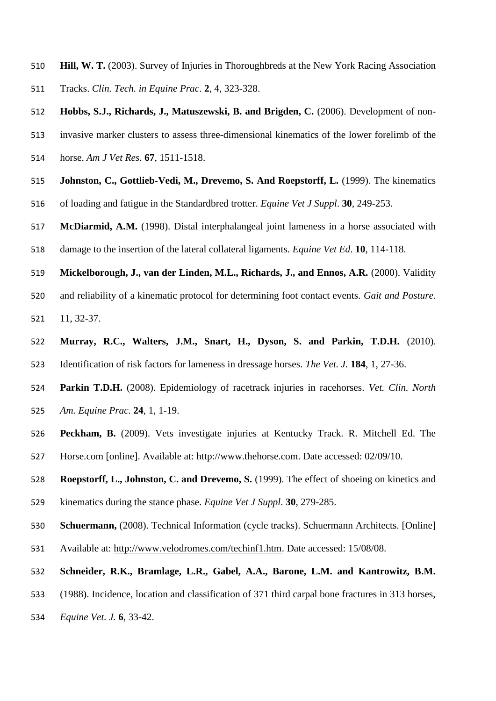**Hill, W. T.** (2003). Survey of Injuries in Thoroughbreds at the New York Racing Association Tracks. *Clin. Tech. in Equine Prac*. **2**, 4, 323-328.

**Hobbs, S.J., Richards, J., Matuszewski, B. and Brigden, C.** (2006). Development of non-

- invasive marker clusters to assess three-dimensional kinematics of the lower forelimb of the
- horse. *Am J Vet Res*. **67**, 1511-1518.
- **Johnston, C., Gottlieb-Vedi, M., Drevemo, S. And Roepstorff, L.** (1999). The kinematics
- of loading and fatigue in the Standardbred trotter. *Equine Vet J Suppl*. **30**, 249-253.
- **McDiarmid, A.M.** (1998). Distal interphalangeal joint lameness in a horse associated with
- damage to the insertion of the lateral collateral ligaments. *Equine Vet Ed*. **10**, 114-118.
- **Mickelborough, J., van der Linden, M.L., Richards, J., and Ennos, A.R.** (2000). Validity
- and reliability of a kinematic protocol for determining foot contact events. *Gait and Posture*.
- 11, 32-37.
- **Murray, R.C., Walters, J.M., Snart, H., Dyson, S. and Parkin, T.D.H.** (2010). Identification of risk factors for lameness in dressage horses. *The Vet. J.* **184**, 1, 27-36.
- **Parkin T.D.H.** (2008). Epidemiology of racetrack injuries in racehorses. *Vet. Clin. North Am. Equine Prac.* **24**, 1, 1-19.
- **Peckham, B.** (2009). Vets investigate injuries at Kentucky Track. R. Mitchell Ed. The
- Horse.com [online]. Available at: [http://www.thehorse.com.](http://www.thehorse.com/) Date accessed: 02/09/10.
- **Roepstorff, L., Johnston, C. and Drevemo, S.** (1999). The effect of shoeing on kinetics and
- kinematics during the stance phase. *Equine Vet J Suppl*. **30**, 279-285.
- **Schuermann,** (2008). Technical Information (cycle tracks). Schuermann Architects. [Online]
- Available at: [http://www.velodromes.com/techinf1.htm.](http://www.velodromes.com/techinf1.htm) Date accessed: 15/08/08.
- **Schneider, R.K., Bramlage, L.R., Gabel, A.A., Barone, L.M. and Kantrowitz, B.M.**
- (1988). Incidence, location and classification of 371 third carpal bone fractures in 313 horses,
- *Equine Vet. J.* **6**, 33-42.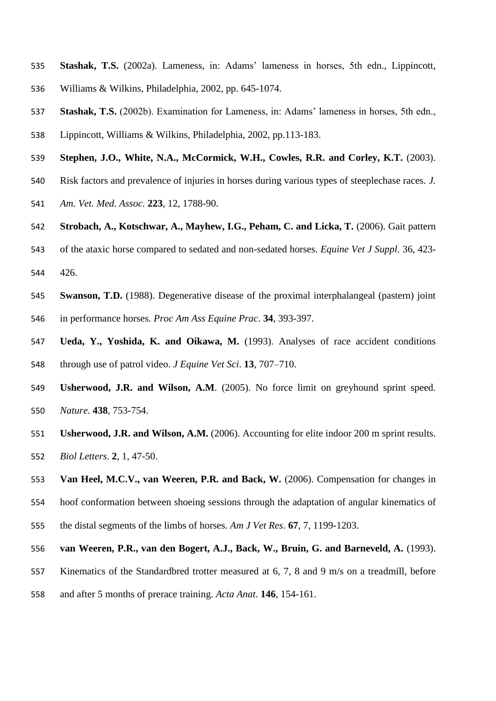- **Stashak, T.S.** (2002a). Lameness, in: Adams' lameness in horses, 5th edn., Lippincott, Williams & Wilkins, Philadelphia, 2002, pp. 645-1074.
- **Stashak, T.S.** (2002b). Examination for Lameness, in: Adams' lameness in horses, 5th edn.,
- Lippincott, Williams & Wilkins, Philadelphia, 2002, pp.113-183.
- **Stephen, J.O., White, N.A., McCormick, W.H., Cowles, R.R. and Corley, K.T.** (2003).
- Risk factors and prevalence of injuries in horses during various types of steeplechase races. *J.*
- *Am. Vet. Med. Assoc.* **223**, 12, 1788-90.
- **Strobach, A., Kotschwar, A., Mayhew, I.G., Peham, C. and Licka, T.** (2006). Gait pattern
- of the ataxic horse compared to sedated and non-sedated horses. *Equine Vet J Suppl*. 36, 423- 426.
- **Swanson, T.D.** (1988). Degenerative disease of the proximal interphalangeal (pastern) joint in performance horses. *Proc Am Ass Equine Prac*. **34**, 393-397.
- **Ueda, Y., Yoshida, K. and Oikawa, M.** (1993). Analyses of race accident conditions through use of patrol video. *J Equine Vet Sci*. **13**, 707–710.
- **Usherwood, J.R. and Wilson, A.M**. (2005). No force limit on greyhound sprint speed. *Nature*. **438**, 753-754.
- **Usherwood, J.R. and Wilson, A.M.** (2006). Accounting for elite indoor 200 m sprint results. *Biol Letters*. **2**, 1, 47-50.
- **Van Heel, M.C.V., van Weeren, P.R. and Back, W.** (2006). Compensation for changes in
- hoof conformation between shoeing sessions through the adaptation of angular kinematics of
- the distal segments of the limbs of horses. *Am J Vet Res*. **67**, 7, 1199-1203.
- **van Weeren, P.R., van den Bogert, A.J., Back, W., Bruin, G. and Barneveld, A.** (1993).
- Kinematics of the Standardbred trotter measured at 6, 7, 8 and 9 m/s on a treadmill, before
- and after 5 months of prerace training. *Acta Anat*. **146**, 154-161.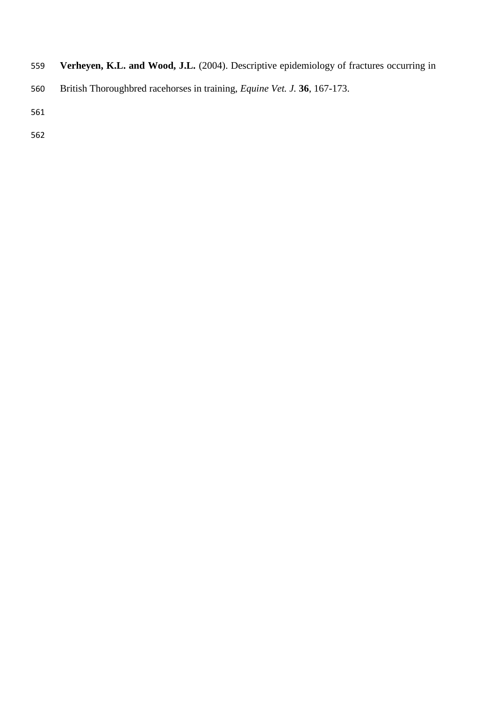- **Verheyen, K.L. and Wood, J.L.** (2004). Descriptive epidemiology of fractures occurring in
- British Thoroughbred racehorses in training, *Equine Vet. J.* **36**, 167-173.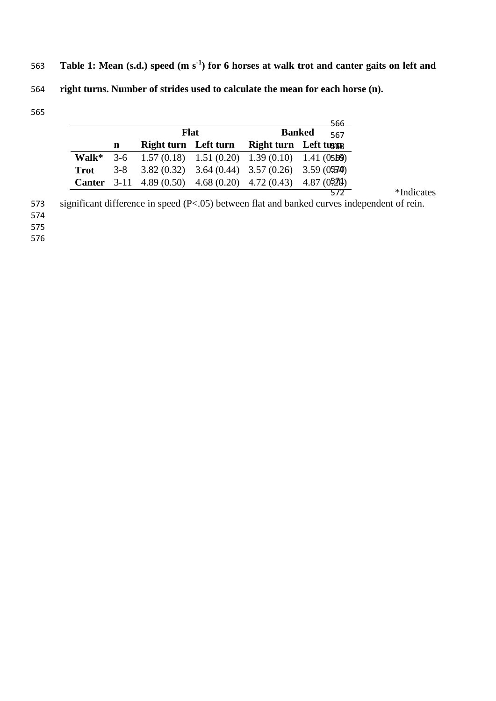563 Table 1: Mean (s.d.) speed (m s<sup>-1</sup>) for 6 horses at walk trot and canter gaits on left and **right turns. Number of strides used to calculate the mean for each horse (n). F** 66

|             |   |                                                                     |  |                        | <u>566.</u>          |  |  |
|-------------|---|---------------------------------------------------------------------|--|------------------------|----------------------|--|--|
|             |   | <b>Flat</b>                                                         |  |                        | <b>Banked</b><br>567 |  |  |
|             | n | Right turn Left turn                                                |  | Right turn Left turang |                      |  |  |
| Walk*       |   | $3-6$ 1.57 (0.18) 1.51 (0.20) 1.39 (0.10) 1.41 (0566)               |  |                        |                      |  |  |
| <b>Trot</b> |   | $3-8$ $3.82$ (0.32) $3.64$ (0.44) $3.57$ (0.26) $3.59$ (0.574)      |  |                        |                      |  |  |
|             |   | <b>Canter</b> 3-11 4.89 (0.50) 4.68 (0.20) 4.72 (0.43) 4.87 (0.528) |  |                        |                      |  |  |
|             |   |                                                                     |  |                        |                      |  |  |

significant difference in speed (P<.05) between flat and banked curves independent of rein.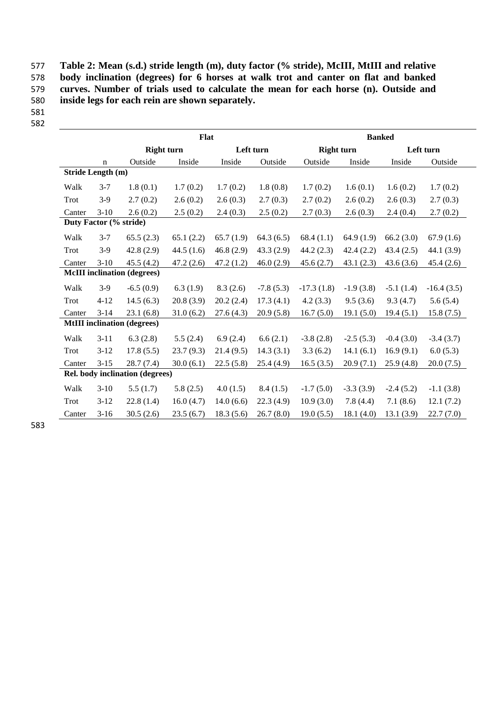577 **Table 2: Mean (s.d.) stride length (m), duty factor (% stride), McIII, MtIII and relative**  578 **body inclination (degrees) for 6 horses at walk trot and canter on flat and banked**  579 **curves. Number of trials used to calculate the mean for each horse (n). Outside and**  580 **inside legs for each rein are shown separately.**

| ۰.<br>v<br>w | ۰.<br>×<br>v | ۰. |
|--------------|--------------|----|
|              |              |    |

582

|                                    |                                 |                                    | Flat      |           | <b>Banked</b> |                   |             |             |              |
|------------------------------------|---------------------------------|------------------------------------|-----------|-----------|---------------|-------------------|-------------|-------------|--------------|
|                                    |                                 | <b>Right turn</b>                  |           | Left turn |               | <b>Right turn</b> |             |             | Left turn    |
|                                    | n                               | Outside                            | Inside    | Inside    | Outside       | Outside           | Inside      | Inside      | Outside      |
|                                    | Stride Length (m)               |                                    |           |           |               |                   |             |             |              |
| Walk                               | $3 - 7$                         | 1.8(0.1)                           | 1.7(0.2)  | 1.7(0.2)  | 1.8(0.8)      | 1.7(0.2)          | 1.6(0.1)    | 1.6(0.2)    | 1.7(0.2)     |
| Trot                               | $3-9$                           | 2.7(0.2)                           | 2.6(0.2)  | 2.6(0.3)  | 2.7(0.3)      | 2.7(0.2)          | 2.6(0.2)    | 2.6(0.3)    | 2.7(0.3)     |
| Canter                             | $3-10$                          | 2.6(0.2)                           | 2.5(0.2)  | 2.4(0.3)  | 2.5(0.2)      | 2.7(0.3)          | 2.6(0.3)    | 2.4(0.4)    | 2.7(0.2)     |
| Duty Factor (% stride)             |                                 |                                    |           |           |               |                   |             |             |              |
| Walk                               | $3 - 7$                         | 65.5(2.3)                          | 65.1(2.2) | 65.7(1.9) | 64.3(6.5)     | 68.4(1.1)         | 64.9(1.9)   | 66.2(3.0)   | 67.9(1.6)    |
| Trot                               | $3-9$                           | 42.8(2.9)                          | 44.5(1.6) | 46.8(2.9) | 43.3(2.9)     | 44.2(2.3)         | 42.4(2.2)   | 43.4(2.5)   | 44.1(3.9)    |
| Canter                             | $3-10$                          | 45.5(4.2)                          | 47.2(2.6) | 47.2(1.2) | 46.0(2.9)     | 45.6(2.7)         | 43.1(2.3)   | 43.6(3.6)   | 45.4(2.6)    |
|                                    |                                 | <b>McIII</b> inclination (degrees) |           |           |               |                   |             |             |              |
| Walk                               | $3-9$                           | $-6.5(0.9)$                        | 6.3(1.9)  | 8.3(2.6)  | $-7.8(5.3)$   | $-17.3(1.8)$      | $-1.9(3.8)$ | $-5.1(1.4)$ | $-16.4(3.5)$ |
| Trot                               | $4 - 12$                        | 14.5(6.3)                          | 20.8(3.9) | 20.2(2.4) | 17.3(4.1)     | 4.2(3.3)          | 9.5(3.6)    | 9.3(4.7)    | 5.6(5.4)     |
| Canter                             | $3 - 14$                        | 23.1(6.8)                          | 31.0(6.2) | 27.6(4.3) | 20.9(5.8)     | 16.7(5.0)         | 19.1(5.0)   | 19.4(5.1)   | 15.8(7.5)    |
| <b>MtIII</b> inclination (degrees) |                                 |                                    |           |           |               |                   |             |             |              |
| Walk                               | $3 - 11$                        | 6.3(2.8)                           | 5.5(2.4)  | 6.9(2.4)  | 6.6(2.1)      | $-3.8(2.8)$       | $-2.5(5.3)$ | $-0.4(3.0)$ | $-3.4(3.7)$  |
| Trot                               | $3-12$                          | 17.8(5.5)                          | 23.7(9.3) | 21.4(9.5) | 14.3(3.1)     | 3.3(6.2)          | 14.1(6.1)   | 16.9(9.1)   | 6.0(5.3)     |
| Canter                             | $3 - 15$                        | 28.7(7.4)                          | 30.0(6.1) | 22.5(5.8) | 25.4(4.9)     | 16.5(3.5)         | 20.9(7.1)   | 25.9(4.8)   | 20.0(7.5)    |
|                                    | Rel. body inclination (degrees) |                                    |           |           |               |                   |             |             |              |
| Walk                               | $3-10$                          | 5.5(1.7)                           | 5.8(2.5)  | 4.0(1.5)  | 8.4(1.5)      | $-1.7(5.0)$       | $-3.3(3.9)$ | $-2.4(5.2)$ | $-1.1(3.8)$  |
| Trot                               | $3-12$                          | 22.8(1.4)                          | 16.0(4.7) | 14.0(6.6) | 22.3(4.9)     | 10.9(3.0)         | 7.8(4.4)    | 7.1(8.6)    | 12.1(7.2)    |
| Canter                             | $3-16$                          | 30.5(2.6)                          | 23.5(6.7) | 18.3(5.6) | 26.7(8.0)     | 19.0(5.5)         | 18.1(4.0)   | 13.1(3.9)   | 22.7(7.0)    |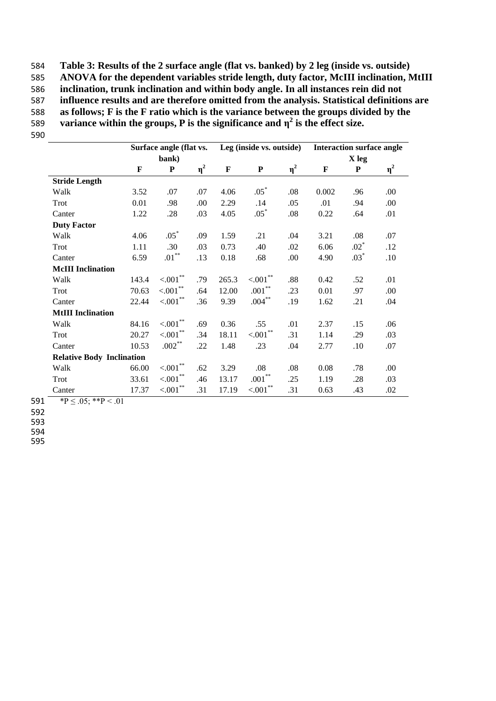**Table 3: Results of the 2 surface angle (flat vs. banked) by 2 leg (inside vs. outside) ANOVA for the dependent variables stride length, duty factor, McIII inclination, MtIII inclination, trunk inclination and within body angle. In all instances rein did not influence results and are therefore omitted from the analysis. Statistical definitions are as follows; F is the F ratio which is the variance between the groups divided by the variance within the groups, P is the significance and**  $\eta^2$  **is the effect size.** 590

|                          | Surface angle (flat vs.          |                       |          |             | Leg (inside vs. outside) |          |             | <b>Interaction surface angle</b> |          |  |
|--------------------------|----------------------------------|-----------------------|----------|-------------|--------------------------|----------|-------------|----------------------------------|----------|--|
|                          | bank)                            |                       |          |             |                          |          |             | X leg                            |          |  |
|                          | F                                | ${\bf P}$             | $\eta^2$ | $\mathbf F$ | ${\bf P}$                | $\eta^2$ | $\mathbf F$ | ${\bf P}$                        | $\eta^2$ |  |
| <b>Stride Length</b>     |                                  |                       |          |             |                          |          |             |                                  |          |  |
| Walk                     | 3.52                             | .07                   | .07      | 4.06        | $.05*$                   | .08      | 0.002       | .96                              | .00.     |  |
| Trot                     | 0.01                             | .98                   | .00      | 2.29        | .14                      | .05      | .01         | .94                              | .00      |  |
| Canter                   | 1.22                             | .28                   | .03      | 4.05        | $.05*$                   | .08      | 0.22        | .64                              | .01      |  |
| <b>Duty Factor</b>       |                                  |                       |          |             |                          |          |             |                                  |          |  |
| Walk                     | 4.06                             | $.05*$                | .09      | 1.59        | .21                      | .04      | 3.21        | .08                              | .07      |  |
| Trot                     | 1.11                             | .30                   | .03      | 0.73        | .40                      | .02      | 6.06        | $.02*$                           | .12      |  |
| Canter                   | 6.59                             | $.01***$              | .13      | 0.18        | .68                      | .00      | 4.90        | $.03*$                           | .10      |  |
| <b>McIII</b> Inclination |                                  |                       |          |             |                          |          |             |                                  |          |  |
| Walk                     | 143.4                            | $< 001$ **            | .79      | 265.3       | $< 001$ **               | .88      | 0.42        | .52                              | .01      |  |
| Trot                     | 70.63                            | $< 001$ $^{\ast\ast}$ | .64      | 12.00       | $.001\sp{**}$            | .23      | 0.01        | .97                              | .00      |  |
| Canter                   | 22.44                            | $< 001$ **            | .36      | 9.39        | $.004***$                | .19      | 1.62        | .21                              | .04      |  |
| <b>MtIII</b> Inclination |                                  |                       |          |             |                          |          |             |                                  |          |  |
| Walk                     | 84.16                            | ${<}001^{\ast\ast}$   | .69      | 0.36        | .55                      | .01      | 2.37        | .15                              | .06      |  |
| Trot                     | 20.27                            | $< 001$ **            | .34      | 18.11       | $< 001$ **               | .31      | 1.14        | .29                              | .03      |  |
| Canter                   | 10.53                            | $.002***$             | .22      | 1.48        | .23                      | .04      | 2.77        | .10                              | .07      |  |
|                          | <b>Relative Body Inclination</b> |                       |          |             |                          |          |             |                                  |          |  |
| Walk                     | 66.00                            | $< 001$ **            | .62      | 3.29        | .08                      | .08      | 0.08        | .78                              | .00.     |  |
| Trot                     | 33.61                            | $< 001$ **            | .46      | 13.17       | $.001\sp{**}$            | .25      | 1.19        | .28                              | .03      |  |
| Canter                   | 17.37                            | $< 001$ <sup>**</sup> | .31      | 17.19       | < 0.001                  | .31      | 0.63        | .43                              | .02      |  |

591  $\overline{P} \leq .05;$  \*\* $P < .01$ 

592

593

594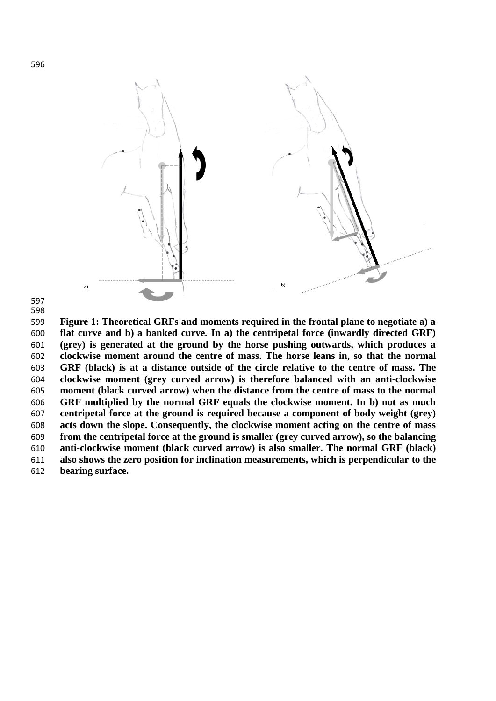

 

 **Figure 1: Theoretical GRFs and moments required in the frontal plane to negotiate a) a flat curve and b) a banked curve. In a) the centripetal force (inwardly directed GRF) (grey) is generated at the ground by the horse pushing outwards, which produces a clockwise moment around the centre of mass. The horse leans in, so that the normal GRF (black) is at a distance outside of the circle relative to the centre of mass. The clockwise moment (grey curved arrow) is therefore balanced with an anti-clockwise moment (black curved arrow) when the distance from the centre of mass to the normal GRF multiplied by the normal GRF equals the clockwise moment. In b) not as much centripetal force at the ground is required because a component of body weight (grey) acts down the slope. Consequently, the clockwise moment acting on the centre of mass from the centripetal force at the ground is smaller (grey curved arrow), so the balancing anti-clockwise moment (black curved arrow) is also smaller. The normal GRF (black) also shows the zero position for inclination measurements, which is perpendicular to the bearing surface.**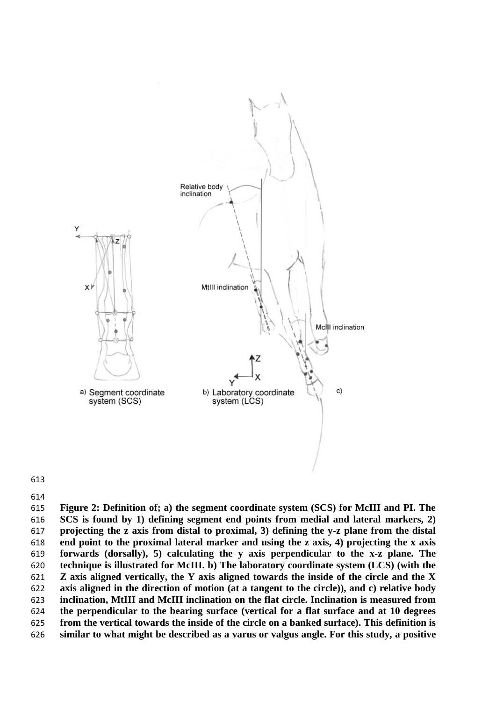

 **Figure 2: Definition of; a) the segment coordinate system (SCS) for McIII and PI. The SCS is found by 1) defining segment end points from medial and lateral markers, 2) projecting the z axis from distal to proximal, 3) defining the y-z plane from the distal end point to the proximal lateral marker and using the z axis, 4) projecting the x axis forwards (dorsally), 5) calculating the y axis perpendicular to the x-z plane. The technique is illustrated for McIII. b) The laboratory coordinate system (LCS) (with the Z axis aligned vertically, the Y axis aligned towards the inside of the circle and the X axis aligned in the direction of motion (at a tangent to the circle)), and c) relative body inclination, MtIII and McIII inclination on the flat circle. Inclination is measured from the perpendicular to the bearing surface (vertical for a flat surface and at 10 degrees from the vertical towards the inside of the circle on a banked surface). This definition is similar to what might be described as a varus or valgus angle. For this study, a positive**